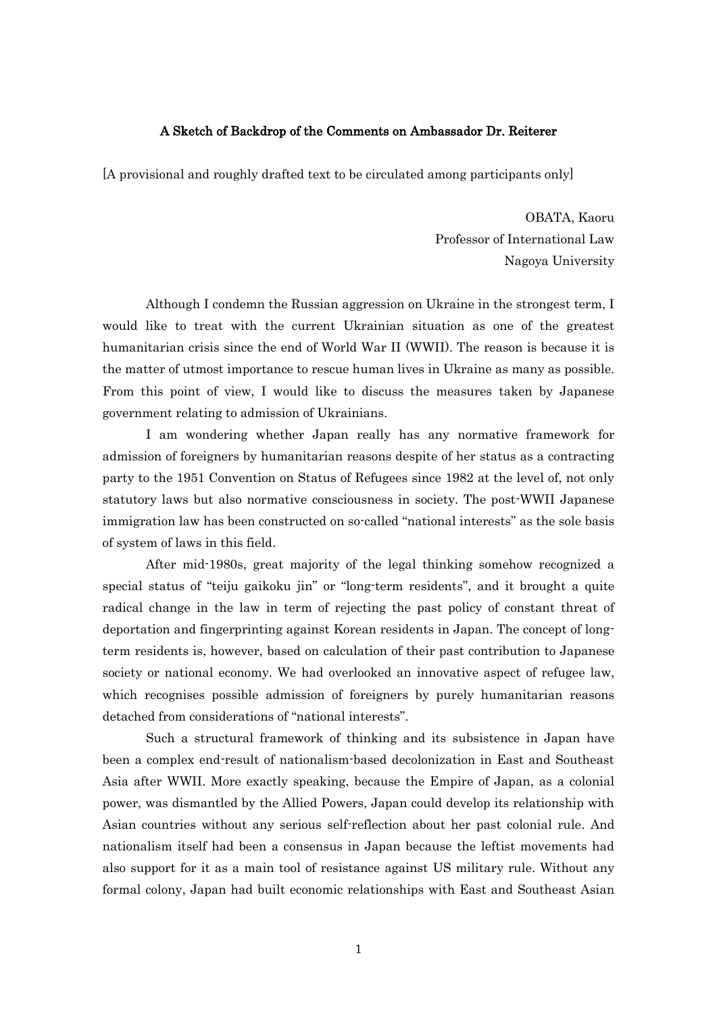## A Sketch of Backdrop of the Comments on Ambassador Dr. Reiterer

[A provisional and roughly drafted text to be circulated among participants only]

OBATA, Kaoru Professor of International Law Nagoya University

Although I condemn the Russian aggression on Ukraine in the strongest term, I would like to treat with the current Ukrainian situation as one of the greatest humanitarian crisis since the end of World War II (WWII). The reason is because it is the matter of utmost importance to rescue human lives in Ukraine as many as possible. From this point of view, I would like to discuss the measures taken by Japanese government relating to admission of Ukrainians.

I am wondering whether Japan really has any normative framework for admission of foreigners by humanitarian reasons despite of her status as a contracting party to the 1951 Convention on Status of Refugees since 1982 at the level of, not only statutory laws but also normative consciousness in society. The post-WWII Japanese immigration law has been constructed on so-called "national interests" as the sole basis of system of laws in this field.

After mid-1980s, great majority of the legal thinking somehow recognized a special status of "teiju gaikoku jin" or "long-term residents", and it brought a quite radical change in the law in term of rejecting the past policy of constant threat of deportation and fingerprinting against Korean residents in Japan. The concept of longterm residents is, however, based on calculation of their past contribution to Japanese society or national economy. We had overlooked an innovative aspect of refugee law, which recognises possible admission of foreigners by purely humanitarian reasons detached from considerations of "national interests".

Such a structural framework of thinking and its subsistence in Japan have been a complex end-result of nationalism-based decolonization in East and Southeast Asia after WWII. More exactly speaking, because the Empire of Japan, as a colonial power, was dismantled by the Allied Powers, Japan could develop its relationship with Asian countries without any serious self-reflection about her past colonial rule. And nationalism itself had been a consensus in Japan because the leftist movements had also support for it as a main tool of resistance against US military rule. Without any formal colony, Japan had built economic relationships with East and Southeast Asian